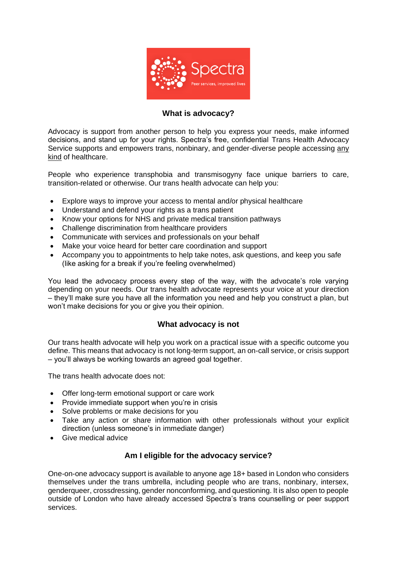

# **What is advocacy?**

Advocacy is support from another person to help you express your needs, make informed decisions, and stand up for your rights. Spectra's free, confidential Trans Health Advocacy Service supports and empowers trans, nonbinary, and gender-diverse people accessing any kind of healthcare.

People who experience transphobia and transmisogyny face unique barriers to care, transition-related or otherwise. Our trans health advocate can help you:

- Explore ways to improve your access to mental and/or physical healthcare
- Understand and defend your rights as a trans patient
- Know your options for NHS and private medical transition pathways
- Challenge discrimination from healthcare providers
- Communicate with services and professionals on your behalf
- Make your voice heard for better care coordination and support
- Accompany you to appointments to help take notes, ask questions, and keep you safe (like asking for a break if you're feeling overwhelmed)

You lead the advocacy process every step of the way, with the advocate's role varying depending on your needs. Our trans health advocate represents your voice at your direction – they'll make sure you have all the information you need and help you construct a plan, but won't make decisions for you or give you their opinion.

# **What advocacy is not**

Our trans health advocate will help you work on a practical issue with a specific outcome you define. This means that advocacy is not long-term support, an on-call service, or crisis support – you'll always be working towards an agreed goal together.

The trans health advocate does not:

- Offer long-term emotional support or care work
- Provide immediate support when you're in crisis
- Solve problems or make decisions for you
- Take any action or share information with other professionals without your explicit direction (unless someone's in immediate danger)
- Give medical advice

# **Am I eligible for the advocacy service?**

One-on-one advocacy support is available to anyone age 18+ based in London who considers themselves under the trans umbrella, including people who are trans, nonbinary, intersex, genderqueer, crossdressing, gender nonconforming, and questioning. It is also open to people outside of London who have already accessed Spectra's trans counselling or peer support services.